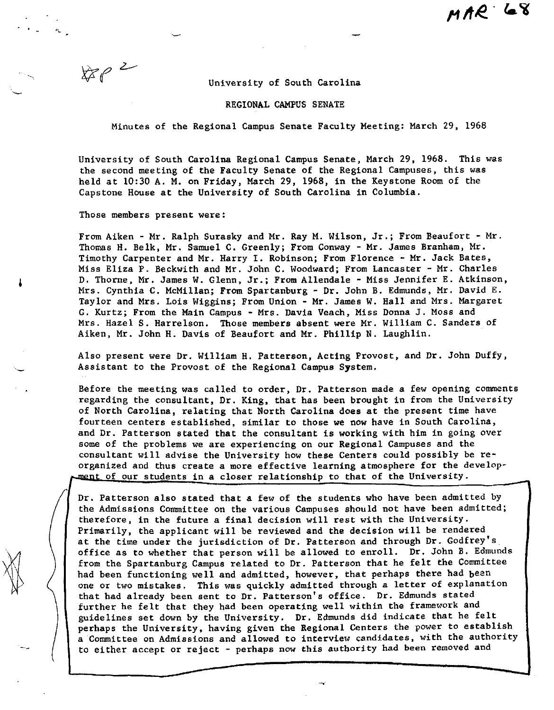University of South Carolina

## REGIONAL CAMPUS SENATE

Minutes of the Regional Campus Senate Faculty Meeting: March 29, 1968

University of South Carolina Regional Campus Senate, March 29, 1968. This was the second meeting of the Faculty Senate of the Regional Campuses, this was held at 10:30 A. M. on Friday, March 29, 1968, in the Keystone Room of the Capstone House at the University of South Carolina in Columbia.

Those members present were:

 $8802$ 

 $\left| \ \right|$ 

(

From Aiken - Mr. Ralph Surasky and Mr. Ray M. Wilson, Jr.; From Beaufort - Mr. Thomas H. Belk, Mr. Samuel C. Greenly; From Conway - Mr. James Branham, Mr. Timothy Carpenter and Mr. Harry I. Robinson; From Florence - Mr. Jack Bates, Miss Eliza P. Beckwith and Mr. John C. Woodward; From Lancaster - Mr. Charles D. Thorne, Mr. James W. Glenn, Jr.; From Allendale - Miss Jennifer E. Atkinson, Mrs. Cynthia C. McMillan; From Spartanburg - Dr. John B. Edmunds, Mr. David E. Taylor and Mrs. Lois Wiggins; From Union - Mr. James W. Hall and Mrs. Margaret G. Kurtz; From the Main Campus - Mrs. Davia Veach, Miss Donna J. Moss and Mrs. Hazel S. Harrelson. Those members absent were Mr. William C. Sanders of Aiken, Mr. John H. Davis of Beaufort and Mr. Phillip N. Laughlin.

Also present were Dr. William H. Patterson, Acting Provost, and Dr. John Duffy, Assistant to the Provost of the Regional Campus System.

Before the meeting was called to order, Dr. Patterson made a few opening comments regarding the consultant, Dr. King, that has been brought in from the University of North Carolina, relating that North Carolina does at the present time have fourteen centers established, similar to those we now have in South Carolina, and Dr. Patterson stated that the consultant is working with him in going over some of the problems we are experiencing on our Regional Campuses and the consultant will advise the University how these Centers could possibly be reorganized and thus create **a** more effective learning atmosphere for the develop ment of our students in a closer relationship to that of the University.

Dr. Patterson also stated that a few of the students who have been admitted by the Admissions Committee on the various Campuses should not have been admitted; therefore, in the future a final decision will rest with the University. Primarily, the applicant will be reviewed and the decision will be rendered at the time under the jurisdiction of Dr. Patterson and through Dr. Godfrey's office as to whether that person will be allowed to enroll. Dr. John B. Edmunds from the Spartanburg Campus related to Dr. Patterson that he felt the Committee had been functioning well and admitted, however, that perhaps there had been one or two mistakes. This was quickly admitted through a letter of explanation that had already been sent to Dr. Patterson's office. Dr. Edmunds stated further he felt that they bad been operating well within the framework and guidelines set down by the University. Dr. Edmunds did indicate that he felt perhaps the University, having given the Regional Centers the power to establish a Committee on Admissions and allowed to interview candidates, with the authority to either accept or reject - perhaps now this authority had been removed and

 $\sim$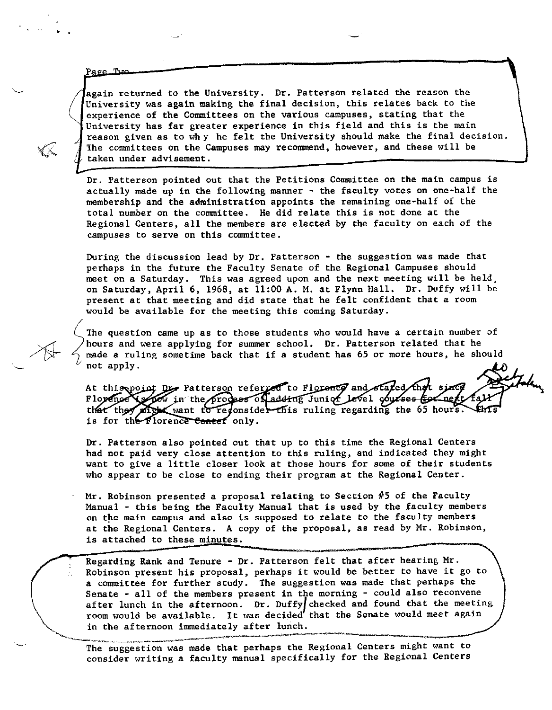Page Tuo

•

depends of the University. Dr. Patterson related the reason the University was again making the final decision, this relates back to the experience of the Committees on the various campuses, stating that the University has University was again making the final decision, this relates back to the experience of the Committees on the various campuses, stating that the University has far greater experience in this field and this is the main reason given as to why he felt the University should make the final decision. The committees on the Campuses may recommend, however, and these will be taken under advisement.

.

**|** 

Dr. Patterson pointed out that the Petitions Committee on the main campus is actually made up in the following manner - the faculty votes on one-half the membership and the administration appoints the remaining one-half of the total number on the committee. He did relate this is not done at the Regional Centers, all the members are elected by the faculty on each of the campuses to serve on this committee.

During the discussion lead by  $Dr.$  Patterson  $-$  the suggestion was made that perhaps in the future the Faculty Senate of the Regional Campuses should meet on a Saturday. This was agreed upon and the next meeting will be held, on Saturday, April 6, 1968, at 11:00 A. M. at Flynn Hall. Dr. Duffy will be present at that meeting and did state that he felt confident that a room would be available for the meeting this coming Saturday.

 $\begin{cases} \n\text{the} \\ \n\text{the} \\ \n\text{me} \\ \n\text{no} \end{cases}$ The question came up as to those students who would have a certain number of hours and were applying for summer school. Dr. Patterson related that he made a ruling sometime back that if a student has 65 or more hours, he should not apply.

At this point Des Patterson referred to Florence and stated the Flopence is not in the process of adding Junior level courses for next fa that they might want to redonsider this ruling regarding the 65 hours. Ent is for the Florence Center only.

Dr. Patterson also pointed out that up to this time the Regional Centers had not paid very close attention to this ruling, and indicated they might want to give a little closer look at those hours for some of their students who appear to be close to ending their program at the Regional Center.

Mr. Robinson presented a proposal relating to Section #5 of the Faculty Manual - this being the Faculty Manual that is used by the faculty members on the main campus and also is supposed to relate to the faculty members at the Regional Centers. A copy of the proposal, as read by Mr. Robinson, is attached to these minutes.

Regarding Rank and Tenure - Dr. Patterson felt that after hearing Mr. Robinson present his proposal, perhaps it would be better to have it go to **a** committee for further study. The suggestion **was** made that perhaps the Senate - all of the members present in the morning - could also reconvene after lunch in the afternoon. Dr. Duffy/checked and found that the meeting room would be available. It was decided that the Senate would meet again in the afternoon immediately after lunch. in the afternoon immediately after lunch.<br>The suggestion was made that perhaps the Regional Centers might want to

consider writing a faculty manual specifically for the Regional Centers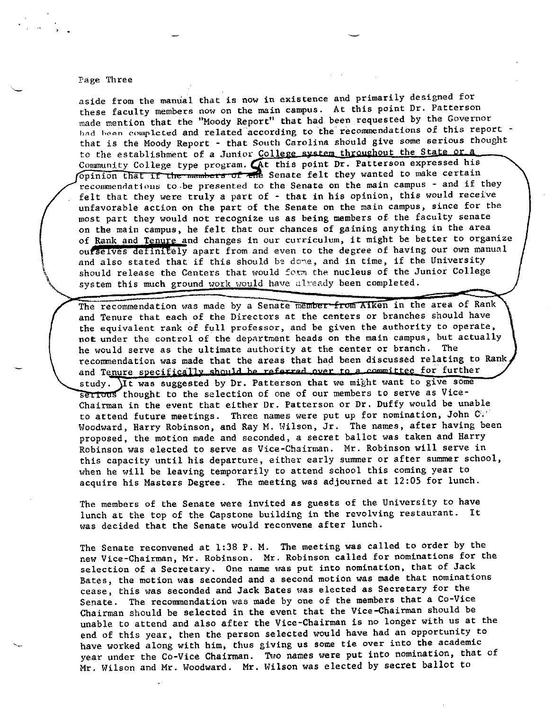## **Page Three**

aside from the manual that is now in existence and primarily designed for these faculty members now on the main campus. At this point Dr. Patterson made mention that the "Moody Report" that had been requested by the Governor had been complcted and related according to the recommendations of this report that is the Moody Report - that South Carolina should give some serious thought to the establishment of a Junior College system throughout the State or a Community College type program. At this point Dr. Patterson expressed his opinion that if the members of the Senate felt they wanted to make certain recommendations to be presented to the Senate on the main campus - and if they felt that they were truly a part of - that in his opinion, this would receive unfavorable action on the part of the Senate on the main campus, since for the most part they would not recognize us as being members of the faculty senate on the main campus, he felt that our chances of gaining anything in the area of Rank and Tenure and changes in our curriculum, it might be better to organize ourselves definitely apart from and even to the degree of having our own manual and also stated that if this should be done, and in time, if the University should release the Centers that would form the nucleus of the Junior College system this much ground work would have already been completed.

The recommendation was made by a Senate member-from Aiken in the area of Rank and Tenure that each of the Directors at the centers or branches should have the equivalent rank of full professor, and be given the authority to operate, not under the control of the department heads on the main campus, but actually he would serve as the ultimate authority at the center or branch. The recommendation was made that the areas that had been discussed relating to Rank and Tenure specifically should be referred over to a committee for further study. It was suggested by Dr. Patterson that we might want to give some sertous thought to the selection of one of our members to serve as Vice-Chairman in the event that either Dr. Patterson or Dr. Duffy would be unable to attend future meetings. Three names were put up for nomination, John  $\mathbb{C}^{(j)}$ Woodward, Harry Robinson, and Ray M. Wilson, Jr. The names, after having been proposed, the motion made and seconded, a secret ballot was taken and Harry Robinson was elected to serve as Vice-Chairman. Mr. Robinson will serve in this capacity until his departure, either early summer or after summer school, when he will be leaving temporarily to attend school this coming year to acquire his Masters Degree. The meeting was adjourned at 12:05 for lunch.

The members of the Senate were invited as guests of the University to have lunch at the top of the Capstone building in the revolving restaurant. It was decided that the Senate would reconvene after lunch.

The Senate reconvened at 1:38 P. M. The meeting was called to order by the new Vice-Chairman, Mr. Robinson. Mr. Robinson called for nominations for the selection of a Secretary. One name was put into nomination, that of Jack Bates, the motion was seconded and a second motion was made that nominations cease, this was seconded and Jack Bates was elected as Secretary for the Senate. The recommendation was made by one of the members that a Co-Vice Chairman should be selected in the event that the Vice-Chairman should be unable to attend and also after the Vice-Chairman is no longer with us at the end of this year, then the person selected would have had an opportunity to have worked along with him, thus giving us some tie over into the academic year under the Co-Vice Chairman. Two names were put into nomination, that of Mr. Wilson and Mr. Woodward. Mr. Wilson was elected by secret ballot to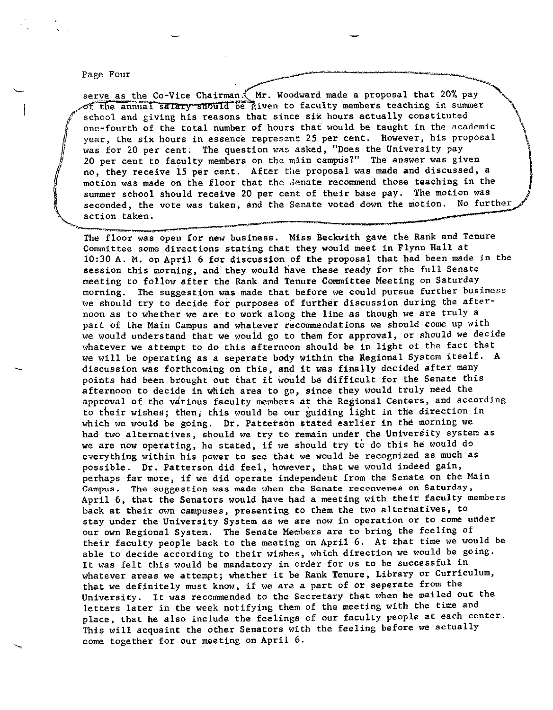## Page Four *~--·~·----------*•:..,.,--.,""'

j<br>|}<br>|

serve as the Co-Vice Chairman.' Mr. Woodward made a proposal that 20% pay of the annual salary should be given to faculty members teaching in summer school and giving his reasons that since six hours actually constituted one-fourth of the total number of hours that would be taught in the academic year, the six hours in essence represent 25 per cent. However, his proposal was for 20 per cent. The question was asked, "Does the University pay 20 per cent to faculty members on the miin campus?" The answer was given no, they receive 15 per cent. After the proposal was made and discussed, a motion was made on the floor that the Senate recommend those teaching in the summer school should receive 20 per cent of their base pay. The motion was<br>seconded, the vote was taken, and the Senate voted down the motion. No further summer school should receive 20 per cent of their base pay. The motion was<br>seconded, the vote was taken, and the Senate voted down the motion. No further

The floor was open for new business. Miss Beckwith gave the Rank and Tenure Committee some directions stating that they would meet in Flynn Hall at 10:30 A. M. on April 6 for discussion of the proposal that had been made in the session this morning, and they would have these ready for the full Senate meeting to follow after the Rank and Tenure Committee Meeting on Saturday morning. The suggestion was made that before we could pursue further business we should try to decide for purposes of further discussion during the afternoon as to whether we are to work along the line as though we are truly a part of the Main Campus and whatever recommendations we should come up with we would understand that we would go to them for approval, or should we decide whatever we attempt to do this afternoon should be in light of the fact that we will be operating as a seperate body within the Regional System itself, A discussion was forthcoming on this, and it was finally decided after many points had been brought out that it wouid be difficult for the Senate this afternoon to decide in which area to go, since they would truly need the approval of the vdrious faculty members at the Regional Centers, and according to their wishes; then, this would be our guiding iight in the direction in which we would be going. Dr. Patterson stated earlier in the morning we had two alternatives, should we try to temain under the University system as we are now operating, he stated, if we should try to do this he would do everything within his power to see that we would be recognized as much as possible. Dr. Patterson did feel, however, that we would indeed gain, perhaps far more, if we did operate independent from the Senate on the Main Campus. The suggestion was made when the Senate reconvenes on Saturday, April 6, that the Senators would have had a meeting with their faculty members back at their own campuses, presenting to them the two alternatives, to stay under the University System as we are now in operation or to come under our own Regional System. The Senate Members are to bring the feeling of their faculty people back to the meeting on April 6. At that time we would be able to decide according to their wishes, which direction we would be going. It was felt this would be mandatory in order for us to be successful in whatever areas we attempt; whether it be Rank Tenure, Library or Curriculum, that we definitely must know, if we are a part of or seperate from the University. It was recommended to the Secretary that when he mailed out the letters later in the week notifying them of the meeting with the time and place, that he also include the feelings of our faculty people at each center. This will acquaint the other Senators with the feeling before we actually come together for our meeting on April 6.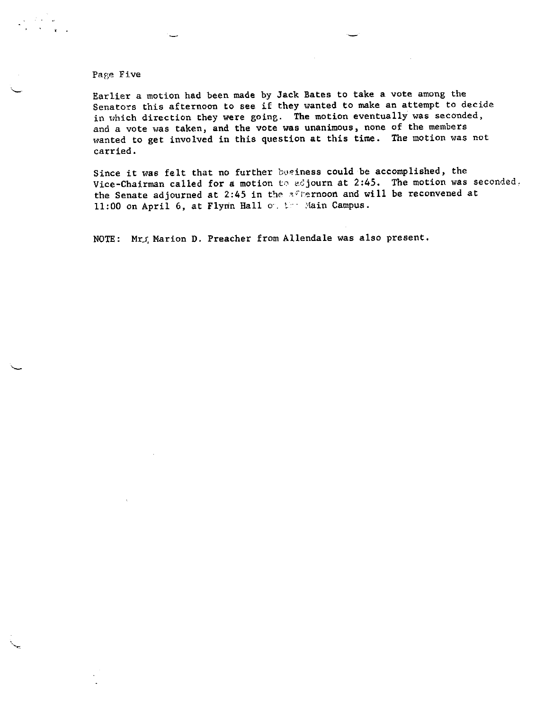## Page Five

 $\mathbf{r} = \mathbf{r}$ 

Earlier a motion had been made by Jack Bates to take a vote among the Senators this afternoon to see if they wanted to make an attempt to decide in which direction they were going. The motion eventually was seconded, and a vote was taken, and the vote was unanimous, none of the members wanted to get involved in this question at this time. The motion was not carried.

Since it was felt that no further bosiness could be accomplished, the Vice-Chairman called for a motion to adjourn at 2:45. The motion was seconded, the Senate adjourned at 2:45 in the afternoon and will be reconvened at 11:00 on April 6, at Flynn Hall on the Main Campus.

NOTE: Mr., Marion D. Preacher from Allendale was also present.